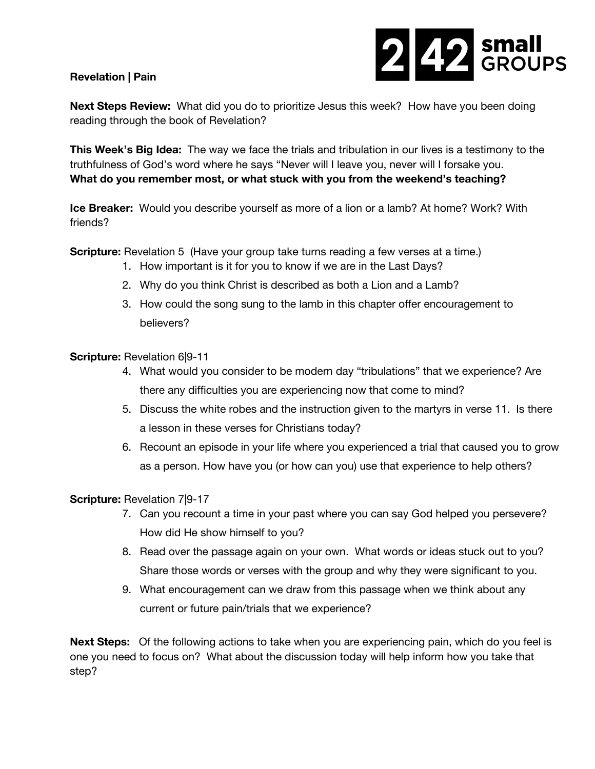## **Revelation | Pain**



**Next Steps Review:** What did you do to prioritize Jesus this week? How have you been doing reading through the book of Revelation?

**This Week's Big Idea:** The way we face the trials and tribulation in our lives is a testimony to the truthfulness of God's word where he says "Never will I leave you, never will I forsake you. **What do you remember most, or what stuck with you from the weekend's teaching?**

**Ice Breaker:** Would you describe yourself as more of a lion or a lamb? At home? Work? With friends?

**Scripture:** Revelation 5 (Have your group take turns reading a few verses at a time.)

- 1. How important is it for you to know if we are in the Last Days?
- 2. Why do you think Christ is described as both a Lion and a Lamb?
- 3. How could the song sung to the lamb in this chapter offer encouragement to believers?

## **Scripture:** Revelation 6|9-11

- 4. What would you consider to be modern day "tribulations" that we experience? Are there any difficulties you are experiencing now that come to mind?
- 5. Discuss the white robes and the instruction given to the martyrs in verse 11. Is there a lesson in these verses for Christians today?
- 6. Recount an episode in your life where you experienced a trial that caused you to grow as a person. How have you (or how can you) use that experience to help others?

## **Scripture:** Revelation 7|9-17

- 7. Can you recount a time in your past where you can say God helped you persevere? How did He show himself to you?
- 8. Read over the passage again on your own. What words or ideas stuck out to you? Share those words or verses with the group and why they were significant to you.
- 9. What encouragement can we draw from this passage when we think about any current or future pain/trials that we experience?

**Next Steps:** Of the following actions to take when you are experiencing pain, which do you feel is one you need to focus on? What about the discussion today will help inform how you take that step?